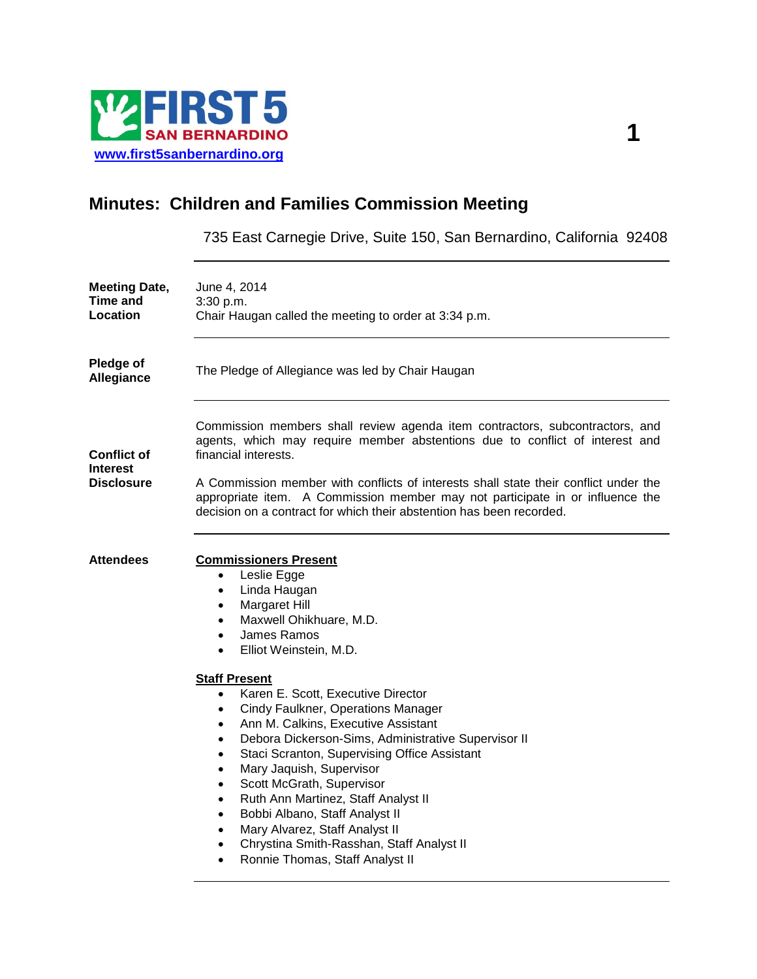

# **Minutes: Children and Families Commission Meeting**

735 East Carnegie Drive, Suite 150, San Bernardino, California 92408

| <b>Meeting Date,</b><br><b>Time and</b><br>Location | June 4, 2014<br>3:30 p.m.<br>Chair Haugan called the meeting to order at 3:34 p.m.                                                                                                                                                                                                                                                                                                                                                                                                                                                                                                            |  |  |
|-----------------------------------------------------|-----------------------------------------------------------------------------------------------------------------------------------------------------------------------------------------------------------------------------------------------------------------------------------------------------------------------------------------------------------------------------------------------------------------------------------------------------------------------------------------------------------------------------------------------------------------------------------------------|--|--|
| Pledge of<br><b>Allegiance</b>                      | The Pledge of Allegiance was led by Chair Haugan                                                                                                                                                                                                                                                                                                                                                                                                                                                                                                                                              |  |  |
| Conflict of<br>Interest<br>Disclosure               | Commission members shall review agenda item contractors, subcontractors, and<br>agents, which may require member abstentions due to conflict of interest and<br>financial interests.<br>A Commission member with conflicts of interests shall state their conflict under the                                                                                                                                                                                                                                                                                                                  |  |  |
|                                                     | appropriate item. A Commission member may not participate in or influence the<br>decision on a contract for which their abstention has been recorded.                                                                                                                                                                                                                                                                                                                                                                                                                                         |  |  |
| <b>Attendees</b>                                    | <b>Commissioners Present</b><br>Leslie Egge<br>$\bullet$<br>Linda Haugan<br>$\bullet$<br>Margaret Hill<br>٠<br>Maxwell Ohikhuare, M.D.<br>$\bullet$<br>James Ramos<br>$\bullet$<br>Elliot Weinstein, M.D.<br>$\bullet$                                                                                                                                                                                                                                                                                                                                                                        |  |  |
|                                                     | <b>Staff Present</b><br>Karen E. Scott, Executive Director<br>$\bullet$<br>Cindy Faulkner, Operations Manager<br>Ann M. Calkins, Executive Assistant<br>Debora Dickerson-Sims, Administrative Supervisor II<br>$\bullet$<br>Staci Scranton, Supervising Office Assistant<br>$\bullet$<br>Mary Jaquish, Supervisor<br>$\bullet$<br>Scott McGrath, Supervisor<br>$\bullet$<br>Ruth Ann Martinez, Staff Analyst II<br>$\bullet$<br>Bobbi Albano, Staff Analyst II<br>$\bullet$<br>Mary Alvarez, Staff Analyst II<br>Chrystina Smith-Rasshan, Staff Analyst II<br>Ronnie Thomas, Staff Analyst II |  |  |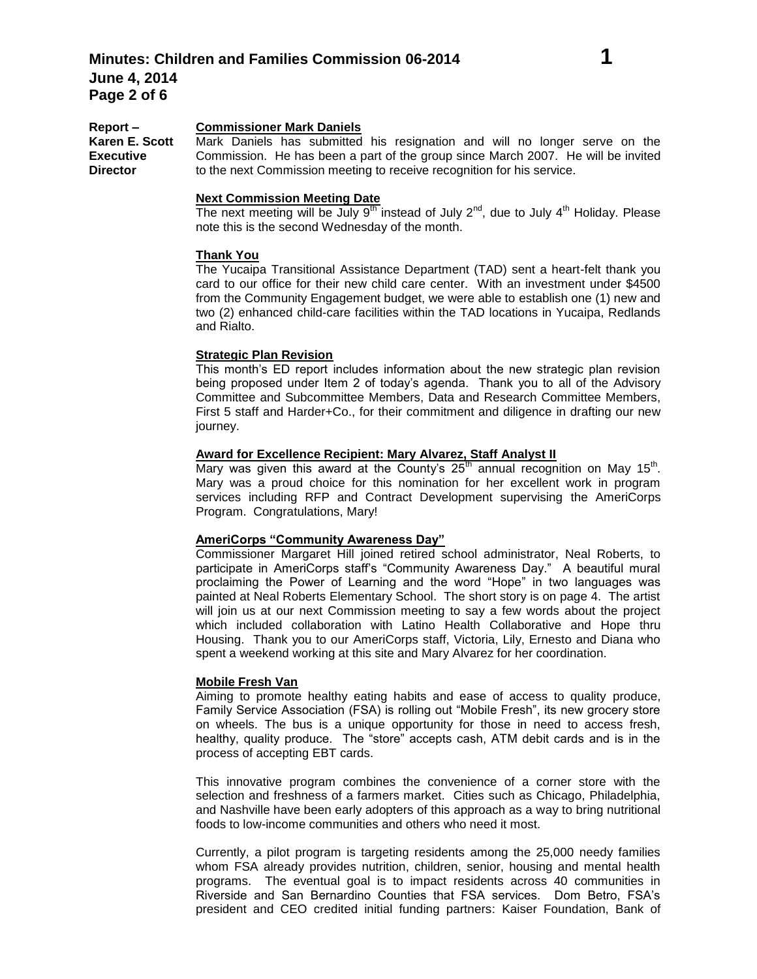#### **Report – Commissioner Mark Daniels**

**Karen E. Scott Executive**  Mark Daniels has submitted his resignation and will no longer serve on the Commission. He has been a part of the group since March 2007. He will be invited to the next Commission meeting to receive recognition for his service.

#### **Next Commission Meeting Date**

The next meeting will be July  $9<sup>th</sup>$  instead of July  $2<sup>nd</sup>$ , due to July  $4<sup>th</sup>$  Holiday. Please note this is the second Wednesday of the month.

# **Thank You**

**Director**

The Yucaipa Transitional Assistance Department (TAD) sent a heart-felt thank you card to our office for their new child care center. With an investment under \$4500 from the Community Engagement budget, we were able to establish one (1) new and two (2) enhanced child-care facilities within the TAD locations in Yucaipa, Redlands and Rialto.

## **Strategic Plan Revision**

This month's ED report includes information about the new strategic plan revision being proposed under Item 2 of today's agenda. Thank you to all of the Advisory Committee and Subcommittee Members, Data and Research Committee Members, First 5 staff and Harder+Co., for their commitment and diligence in drafting our new journey.

# **Award for Excellence Recipient: Mary Alvarez, Staff Analyst II**

Mary was given this award at the County's  $25<sup>th</sup>$  annual recognition on May 15<sup>th</sup>. Mary was a proud choice for this nomination for her excellent work in program services including RFP and Contract Development supervising the AmeriCorps Program. Congratulations, Mary!

### **AmeriCorps "Community Awareness Day"**

Commissioner Margaret Hill joined retired school administrator, Neal Roberts, to participate in AmeriCorps staff's "Community Awareness Day." A beautiful mural proclaiming the Power of Learning and the word "Hope" in two languages was painted at Neal Roberts Elementary School. The short story is on page 4. The artist will join us at our next Commission meeting to say a few words about the project which included collaboration with Latino Health Collaborative and Hope thru Housing. Thank you to our AmeriCorps staff, Victoria, Lily, Ernesto and Diana who spent a weekend working at this site and Mary Alvarez for her coordination.

#### **Mobile Fresh Van**

Aiming to promote healthy eating habits and ease of access to quality produce, Family Service Association (FSA) is rolling out "Mobile Fresh", its new grocery store on wheels. The bus is a unique opportunity for those in need to access fresh, healthy, quality produce. The "store" accepts cash, ATM debit cards and is in the process of accepting EBT cards.

This innovative program combines the convenience of a corner store with the selection and freshness of a farmers market. Cities such as Chicago, Philadelphia, and Nashville have been early adopters of this approach as a way to bring nutritional foods to low-income communities and others who need it most.

Currently, a pilot program is targeting residents among the 25,000 needy families whom FSA already provides nutrition, children, senior, housing and mental health programs. The eventual goal is to impact residents across 40 communities in Riverside and San Bernardino Counties that FSA services. Dom Betro, FSA's president and CEO credited initial funding partners: Kaiser Foundation, Bank of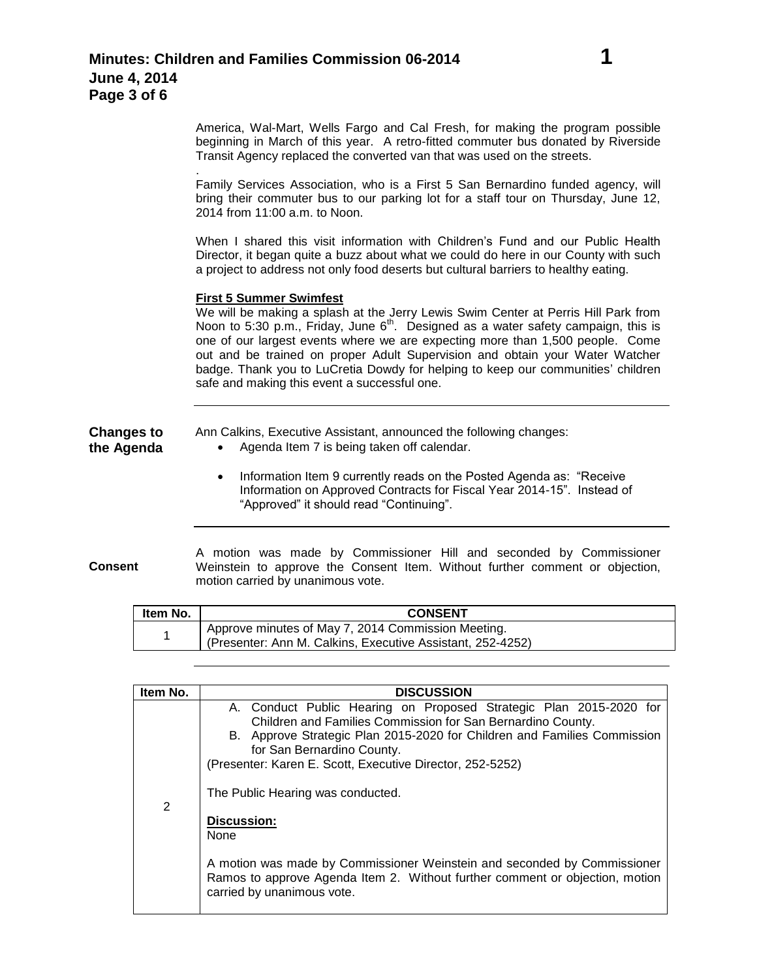America, Wal-Mart, Wells Fargo and Cal Fresh, for making the program possible beginning in March of this year. A retro-fitted commuter bus donated by Riverside Transit Agency replaced the converted van that was used on the streets.

Family Services Association, who is a First 5 San Bernardino funded agency, will bring their commuter bus to our parking lot for a staff tour on Thursday, June 12, 2014 from 11:00 a.m. to Noon.

When I shared this visit information with Children's Fund and our Public Health Director, it began quite a buzz about what we could do here in our County with such a project to address not only food deserts but cultural barriers to healthy eating.

### **First 5 Summer Swimfest**

.

We will be making a splash at the Jerry Lewis Swim Center at Perris Hill Park from Noon to 5:30 p.m., Friday, June 6<sup>th</sup>. Designed as a water safety campaign, this is one of our largest events where we are expecting more than 1,500 people. Come out and be trained on proper Adult Supervision and obtain your Water Watcher badge. Thank you to LuCretia Dowdy for helping to keep our communities' children safe and making this event a successful one.

# **Changes to the Agenda**

Ann Calkins, Executive Assistant, announced the following changes:

- Agenda Item 7 is being taken off calendar.
- Information Item 9 currently reads on the Posted Agenda as: "Receive Information on Approved Contracts for Fiscal Year 2014-15". Instead of "Approved" it should read "Continuing".

**Consent**

A motion was made by Commissioner Hill and seconded by Commissioner Weinstein to approve the Consent Item. Without further comment or objection, motion carried by unanimous vote.

| ltem No. | <b>CONSENT</b>                                                                                                   |  |
|----------|------------------------------------------------------------------------------------------------------------------|--|
|          | Approve minutes of May 7, 2014 Commission Meeting.<br>(Presenter: Ann M. Calkins, Executive Assistant, 252-4252) |  |

| Item No. | <b>DISCUSSION</b>                                                                                                                                                                                                                                                                                                                                                                                                                                                                                                                                                            |
|----------|------------------------------------------------------------------------------------------------------------------------------------------------------------------------------------------------------------------------------------------------------------------------------------------------------------------------------------------------------------------------------------------------------------------------------------------------------------------------------------------------------------------------------------------------------------------------------|
| 2        | A. Conduct Public Hearing on Proposed Strategic Plan 2015-2020 for<br>Children and Families Commission for San Bernardino County.<br>B. Approve Strategic Plan 2015-2020 for Children and Families Commission<br>for San Bernardino County.<br>(Presenter: Karen E. Scott, Executive Director, 252-5252)<br>The Public Hearing was conducted.<br><b>Discussion:</b><br><b>None</b><br>A motion was made by Commissioner Weinstein and seconded by Commissioner<br>Ramos to approve Agenda Item 2. Without further comment or objection, motion<br>carried by unanimous vote. |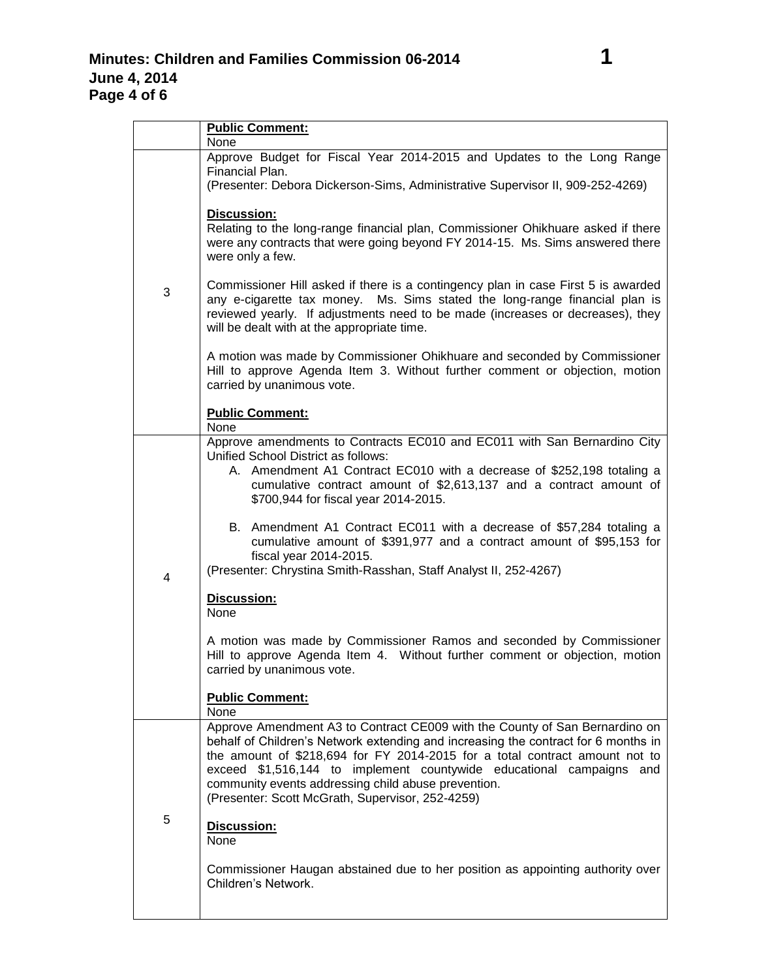|   | <b>Public Comment:</b>                                                                                                                                                                                                                                                                                                                                                                                                              |  |  |
|---|-------------------------------------------------------------------------------------------------------------------------------------------------------------------------------------------------------------------------------------------------------------------------------------------------------------------------------------------------------------------------------------------------------------------------------------|--|--|
|   | None                                                                                                                                                                                                                                                                                                                                                                                                                                |  |  |
|   | Approve Budget for Fiscal Year 2014-2015 and Updates to the Long Range<br>Financial Plan.<br>(Presenter: Debora Dickerson-Sims, Administrative Supervisor II, 909-252-4269)                                                                                                                                                                                                                                                         |  |  |
| 3 | <b>Discussion:</b><br>Relating to the long-range financial plan, Commissioner Ohikhuare asked if there<br>were any contracts that were going beyond FY 2014-15. Ms. Sims answered there<br>were only a few.                                                                                                                                                                                                                         |  |  |
|   | Commissioner Hill asked if there is a contingency plan in case First 5 is awarded<br>any e-cigarette tax money. Ms. Sims stated the long-range financial plan is<br>reviewed yearly. If adjustments need to be made (increases or decreases), they<br>will be dealt with at the appropriate time.                                                                                                                                   |  |  |
|   | A motion was made by Commissioner Ohikhuare and seconded by Commissioner<br>Hill to approve Agenda Item 3. Without further comment or objection, motion<br>carried by unanimous vote.                                                                                                                                                                                                                                               |  |  |
|   | <b>Public Comment:</b><br>None                                                                                                                                                                                                                                                                                                                                                                                                      |  |  |
| 4 | Approve amendments to Contracts EC010 and EC011 with San Bernardino City<br>Unified School District as follows:<br>A. Amendment A1 Contract EC010 with a decrease of \$252,198 totaling a<br>cumulative contract amount of \$2,613,137 and a contract amount of<br>\$700,944 for fiscal year 2014-2015.                                                                                                                             |  |  |
|   | B. Amendment A1 Contract EC011 with a decrease of \$57,284 totaling a<br>cumulative amount of \$391,977 and a contract amount of \$95,153 for<br>fiscal year 2014-2015.<br>(Presenter: Chrystina Smith-Rasshan, Staff Analyst II, 252-4267)                                                                                                                                                                                         |  |  |
|   | Discussion:<br>None                                                                                                                                                                                                                                                                                                                                                                                                                 |  |  |
|   | A motion was made by Commissioner Ramos and seconded by Commissioner<br>Hill to approve Agenda Item 4. Without further comment or objection, motion<br>carried by unanimous vote.                                                                                                                                                                                                                                                   |  |  |
|   | <b>Public Comment:</b><br>None                                                                                                                                                                                                                                                                                                                                                                                                      |  |  |
| 5 | Approve Amendment A3 to Contract CE009 with the County of San Bernardino on<br>behalf of Children's Network extending and increasing the contract for 6 months in<br>the amount of \$218,694 for FY 2014-2015 for a total contract amount not to<br>exceed \$1,516,144 to implement countywide educational campaigns and<br>community events addressing child abuse prevention.<br>(Presenter: Scott McGrath, Supervisor, 252-4259) |  |  |
|   | Discussion:<br>None                                                                                                                                                                                                                                                                                                                                                                                                                 |  |  |
|   | Commissioner Haugan abstained due to her position as appointing authority over<br>Children's Network.                                                                                                                                                                                                                                                                                                                               |  |  |
|   |                                                                                                                                                                                                                                                                                                                                                                                                                                     |  |  |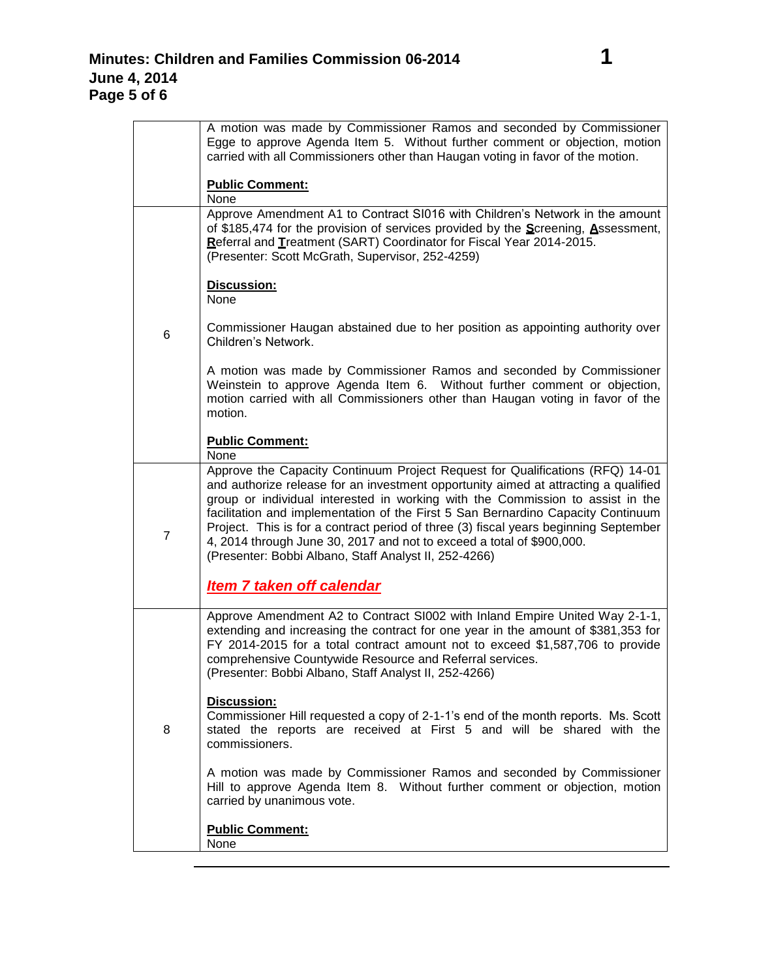| A motion was made by Commissioner Ramos and seconded by Commissioner<br>Egge to approve Agenda Item 5. Without further comment or objection, motion<br>carried with all Commissioners other than Haugan voting in favor of the motion. |
|----------------------------------------------------------------------------------------------------------------------------------------------------------------------------------------------------------------------------------------|
| <b>Public Comment:</b><br>Nono                                                                                                                                                                                                         |

|                | <b>Public Comment:</b><br>None                                                                                                                                                                                                                                                                                                                                                                                                                                                                                                                                       |  |
|----------------|----------------------------------------------------------------------------------------------------------------------------------------------------------------------------------------------------------------------------------------------------------------------------------------------------------------------------------------------------------------------------------------------------------------------------------------------------------------------------------------------------------------------------------------------------------------------|--|
|                | Approve Amendment A1 to Contract SI016 with Children's Network in the amount<br>of \$185,474 for the provision of services provided by the Screening, Assessment,<br>Referral and Treatment (SART) Coordinator for Fiscal Year 2014-2015.<br>(Presenter: Scott McGrath, Supervisor, 252-4259)                                                                                                                                                                                                                                                                        |  |
| 6              | Discussion:<br>None                                                                                                                                                                                                                                                                                                                                                                                                                                                                                                                                                  |  |
|                | Commissioner Haugan abstained due to her position as appointing authority over<br>Children's Network.                                                                                                                                                                                                                                                                                                                                                                                                                                                                |  |
|                | A motion was made by Commissioner Ramos and seconded by Commissioner<br>Weinstein to approve Agenda Item 6. Without further comment or objection,<br>motion carried with all Commissioners other than Haugan voting in favor of the<br>motion.                                                                                                                                                                                                                                                                                                                       |  |
|                | <b>Public Comment:</b><br>None                                                                                                                                                                                                                                                                                                                                                                                                                                                                                                                                       |  |
| $\overline{7}$ | Approve the Capacity Continuum Project Request for Qualifications (RFQ) 14-01<br>and authorize release for an investment opportunity aimed at attracting a qualified<br>group or individual interested in working with the Commission to assist in the<br>facilitation and implementation of the First 5 San Bernardino Capacity Continuum<br>Project. This is for a contract period of three (3) fiscal years beginning September<br>4, 2014 through June 30, 2017 and not to exceed a total of \$900,000.<br>(Presenter: Bobbi Albano, Staff Analyst II, 252-4266) |  |
|                | <b>Item 7 taken off calendar</b>                                                                                                                                                                                                                                                                                                                                                                                                                                                                                                                                     |  |
| 8              | Approve Amendment A2 to Contract SI002 with Inland Empire United Way 2-1-1,<br>extending and increasing the contract for one year in the amount of \$381,353 for<br>FY 2014-2015 for a total contract amount not to exceed \$1,587,706 to provide<br>comprehensive Countywide Resource and Referral services.<br>(Presenter: Bobbi Albano, Staff Analyst II, 252-4266)                                                                                                                                                                                               |  |
|                | <b>Discussion:</b><br>Commissioner Hill requested a copy of 2-1-1's end of the month reports. Ms. Scott<br>stated the reports are received at First 5 and will be shared with the<br>commissioners.                                                                                                                                                                                                                                                                                                                                                                  |  |
|                | A motion was made by Commissioner Ramos and seconded by Commissioner<br>Hill to approve Agenda Item 8. Without further comment or objection, motion<br>carried by unanimous vote.                                                                                                                                                                                                                                                                                                                                                                                    |  |
|                | <b>Public Comment:</b><br>None                                                                                                                                                                                                                                                                                                                                                                                                                                                                                                                                       |  |